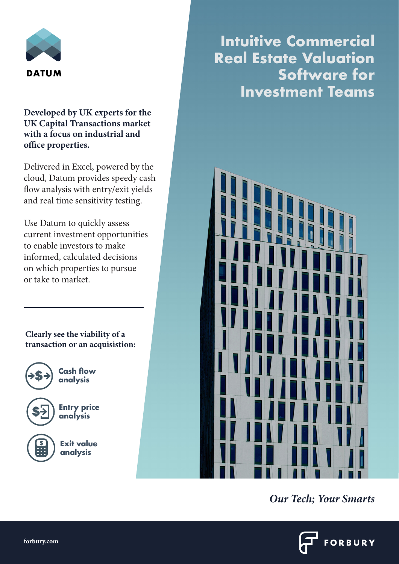

# **Developed by UK experts for the UK Capital Transactions market with a focus on industrial and office properties.**

Delivered in Excel, powered by the cloud, Datum provides speedy cash flow analysis with entry/exit yields and real time sensitivity testing.

Use Datum to quickly assess current investment opportunities to enable investors to make informed, calculated decisions on which properties to pursue or take to market.

**Clearly see the viability of a transaction or an acquisistion:**



**Cash flow** 

**Entry price analysis**

**Exit value analysis**

**Intuitive Commercial Real Estate Valuation Software for Investment Teams**



*Our Tech; Your Smarts*